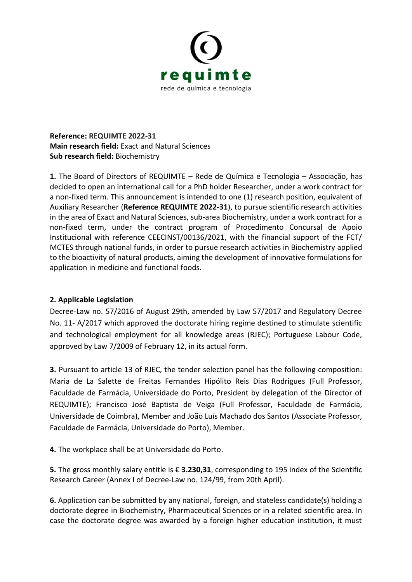

**Reference: REQUIMTE 2022-31 Main research field:** Exact and Natural Sciences **Sub research field:** Biochemistry

**1.** The Board of Directors of REQUIMTE – Rede de Química e Tecnologia – Associação, has decided to open an international call for a PhD holder Researcher, under a work contract for a non-fixed term. This announcement is intended to one (1) research position, equivalent of Auxiliary Researcher (**Reference REQUIMTE 2022-31**), to pursue scientific research activities in the area of Exact and Natural Sciences, sub-area Biochemistry, under a work contract for a non-fixed term, under the contract program of Procedimento Concursal de Apoio Institucional with reference CEECINST/00136/2021, with the financial support of the FCT/ MCTES through national funds, in order to pursue research activities in Biochemistry applied to the bioactivity of natural products, aiming the development of innovative formulations for application in medicine and functional foods.

## **2. Applicable Legislation**

Decree-Law no. 57/2016 of August 29th, amended by Law 57/2017 and Regulatory Decree No. 11- A/2017 which approved the doctorate hiring regime destined to stimulate scientific and technological employment for all knowledge areas (RJEC); Portuguese Labour Code, approved by Law 7/2009 of February 12, in its actual form.

**3.** Pursuant to article 13 of RJEC, the tender selection panel has the following composition: Maria de La Salette de Freitas Fernandes Hipólito Reis Dias Rodrigues (Full Professor, Faculdade de Farmácia, Universidade do Porto, President by delegation of the Director of REQUIMTE); Francisco José Baptista de Veiga (Full Professor, Faculdade de Farmácia, Universidade de Coimbra), Member and João Luís Machado dos Santos (Associate Professor, Faculdade de Farmácia, Universidade do Porto), Member.

**4.** The workplace shall be at Universidade do Porto.

**5.** The gross monthly salary entitle is € **3.230,31**, corresponding to 195 index of the Scientific Research Career (Annex I of Decree-Law no. 124/99, from 20th April).

**6.** Application can be submitted by any national, foreign, and stateless candidate(s) holding a doctorate degree in Biochemistry, Pharmaceutical Sciences or in a related scientific area. In case the doctorate degree was awarded by a foreign higher education institution, it must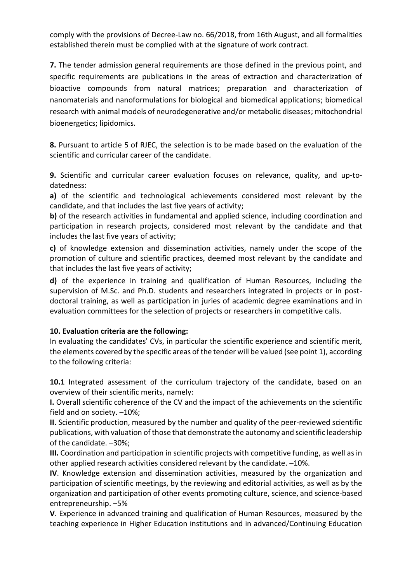comply with the provisions of Decree-Law no. 66/2018, from 16th August, and all formalities established therein must be complied with at the signature of work contract.

**7.** The tender admission general requirements are those defined in the previous point, and specific requirements are publications in the areas of extraction and characterization of bioactive compounds from natural matrices; preparation and characterization of nanomaterials and nanoformulations for biological and biomedical applications; biomedical research with animal models of neurodegenerative and/or metabolic diseases; mitochondrial bioenergetics; lipidomics.

**8.** Pursuant to article 5 of RJEC, the selection is to be made based on the evaluation of the scientific and curricular career of the candidate.

**9.** Scientific and curricular career evaluation focuses on relevance, quality, and up-todatedness:

**a)** of the scientific and technological achievements considered most relevant by the candidate, and that includes the last five years of activity;

**b)** of the research activities in fundamental and applied science, including coordination and participation in research projects, considered most relevant by the candidate and that includes the last five years of activity;

**c)** of knowledge extension and dissemination activities, namely under the scope of the promotion of culture and scientific practices, deemed most relevant by the candidate and that includes the last five years of activity;

**d)** of the experience in training and qualification of Human Resources, including the supervision of M.Sc. and Ph.D. students and researchers integrated in projects or in postdoctoral training, as well as participation in juries of academic degree examinations and in evaluation committees for the selection of projects or researchers in competitive calls.

## **10. Evaluation criteria are the following:**

In evaluating the candidates' CVs, in particular the scientific experience and scientific merit, the elements covered by the specific areas of the tender will be valued (see point 1), according to the following criteria:

**10.1** Integrated assessment of the curriculum trajectory of the candidate, based on an overview of their scientific merits, namely:

**I.** Overall scientific coherence of the CV and the impact of the achievements on the scientific field and on society. –10%;

**II.** Scientific production, measured by the number and quality of the peer-reviewed scientific publications, with valuation of those that demonstrate the autonomy and scientific leadership of the candidate. –30%;

**III.** Coordination and participation in scientific projects with competitive funding, as well as in other applied research activities considered relevant by the candidate. –10%.

**IV**. Knowledge extension and dissemination activities, measured by the organization and participation of scientific meetings, by the reviewing and editorial activities, as well as by the organization and participation of other events promoting culture, science, and science-based entrepreneurship. –5%

**V**. Experience in advanced training and qualification of Human Resources, measured by the teaching experience in Higher Education institutions and in advanced/Continuing Education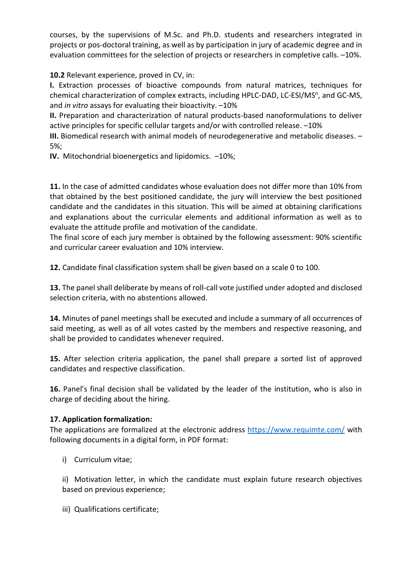courses, by the supervisions of M.Sc. and Ph.D. students and researchers integrated in projects or pos-doctoral training, as well as by participation in jury of academic degree and in evaluation committees for the selection of projects or researchers in completive calls. –10%.

**10.2** Relevant experience, proved in CV, in:

**I.** Extraction processes of bioactive compounds from natural matrices, techniques for chemical characterization of complex extracts, including HPLC-DAD, LC-ESI/MS<sup>n</sup>, and GC-MS, and *in vitro* assays for evaluating their bioactivity. –10%

**II.** Preparation and characterization of natural products-based nanoformulations to deliver active principles for specific cellular targets and/or with controlled release. –10%

**III.** Biomedical research with animal models of neurodegenerative and metabolic diseases. – 5%;

**IV.** Mitochondrial bioenergetics and lipidomics. –10%;

**11.** In the case of admitted candidates whose evaluation does not differ more than 10% from that obtained by the best positioned candidate, the jury will interview the best positioned candidate and the candidates in this situation. This will be aimed at obtaining clarifications and explanations about the curricular elements and additional information as well as to evaluate the attitude profile and motivation of the candidate.

The final score of each jury member is obtained by the following assessment: 90% scientific and curricular career evaluation and 10% interview.

**12.** Candidate final classification system shall be given based on a scale 0 to 100.

**13.** The panel shall deliberate by means of roll-call vote justified under adopted and disclosed selection criteria, with no abstentions allowed.

**14.** Minutes of panel meetings shall be executed and include a summary of all occurrences of said meeting, as well as of all votes casted by the members and respective reasoning, and shall be provided to candidates whenever required.

**15.** After selection criteria application, the panel shall prepare a sorted list of approved candidates and respective classification.

16. Panel's final decision shall be validated by the leader of the institution, who is also in charge of deciding about the hiring.

## **17. Application formalization:**

The applications are formalized at the electronic address<https://www.requimte.com/> with following documents in a digital form, in PDF format:

i) Curriculum vitae;

ii) Motivation letter, in which the candidate must explain future research objectives based on previous experience;

iii) Qualifications certificate;